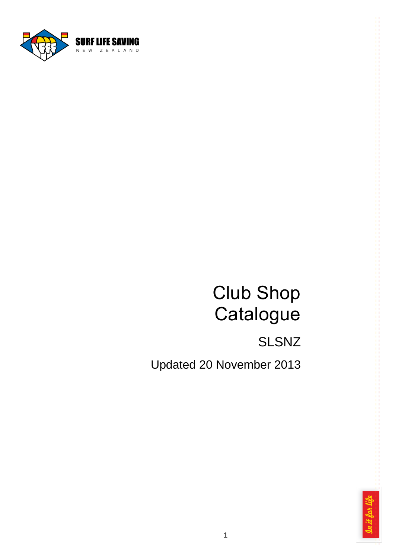

# Club Shop **Catalogue**

# SLSNZ

Updated 20 November 2013

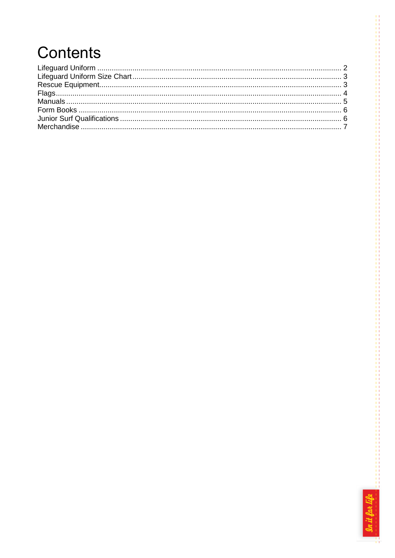# Contents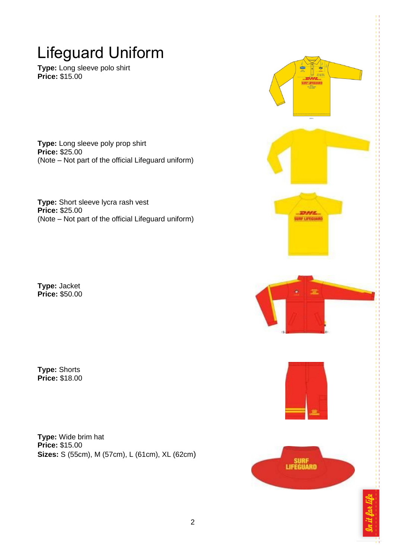### <span id="page-2-0"></span>Lifeguard Uniform

**Type:** Long sleeve polo shirt **Price:** \$15.00

**Type:** Long sleeve poly prop shirt **Price:** \$25.00 (Note – Not part of the official Lifeguard uniform)

**Type:** Short sleeve lycra rash vest **Price:** \$25.00 (Note – Not part of the official Lifeguard uniform)

**Type:** Jacket **Price:** \$50.00

**Type:** Shorts **Price:** \$18.00

**Type:** Wide brim hat **Price:** \$15.00 **Sizes:** S (55cm), M (57cm), L (61cm), XL (62cm)

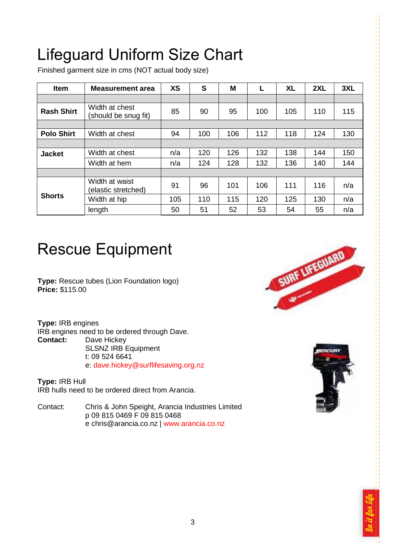# <span id="page-3-0"></span>Lifeguard Uniform Size Chart

Finished garment size in cms (NOT actual body size)

| Item              | <b>Measurement area</b>                | <b>XS</b> | S   | M   |     | <b>XL</b> | 2XL | 3XL |
|-------------------|----------------------------------------|-----------|-----|-----|-----|-----------|-----|-----|
|                   |                                        |           |     |     |     |           |     |     |
| <b>Rash Shirt</b> | Width at chest<br>(should be snug fit) | 85        | 90  | 95  | 100 | 105       | 110 | 115 |
|                   |                                        |           |     |     |     |           |     |     |
| <b>Polo Shirt</b> | Width at chest                         | 94        | 100 | 106 | 112 | 118       | 124 | 130 |
|                   |                                        |           |     |     |     |           |     |     |
| <b>Jacket</b>     | Width at chest                         | n/a       | 120 | 126 | 132 | 138       | 144 | 150 |
|                   | Width at hem                           | n/a       | 124 | 128 | 132 | 136       | 140 | 144 |
|                   |                                        |           |     |     |     |           |     |     |
| <b>Shorts</b>     | Width at waist<br>(elastic stretched)  | 91        | 96  | 101 | 106 | 111       | 116 | n/a |
|                   | Width at hip                           | 105       | 110 | 115 | 120 | 125       | 130 | n/a |
|                   | length                                 | 50        | 51  | 52  | 53  | 54        | 55  | n/a |

#### <span id="page-3-1"></span>Rescue Equipment

**Type:** Rescue tubes (Lion Foundation logo) **Price:** \$115.00

**Type:** IRB engines IRB engines need to be ordered through Dave. **Contact:** Dave Hickey SLSNZ IRB Equipment t: 09 524 6641 e: [dave.hickey@surflifesaving.org.nz](mailto:dave.hickey@surflifesaving.org.nz)

**Type:** IRB Hull IRB hulls need to be ordered direct from Arancia.

Contact: Chris & John Speight, Arancia Industries Limited p 09 815 0469 F 09 815 0468 e chris@arancia.co.nz | [www.arancia.co.nz](http://www.arancia.co.nz/)





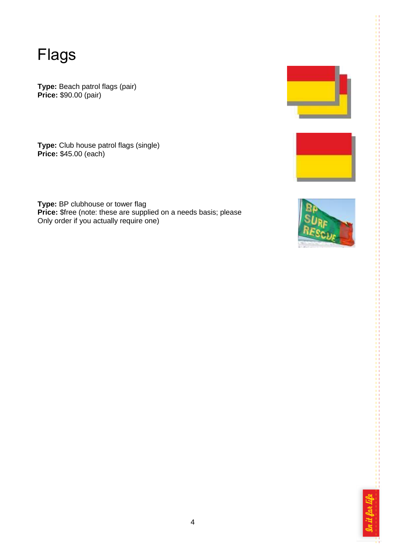<span id="page-4-0"></span>Flags

**Type:** Beach patrol flags (pair) **Price:** \$90.00 (pair)

**Type:** Club house patrol flags (single) **Price:** \$45.00 (each)

**Type:** BP clubhouse or tower flag **Price:** \$free (note: these are supplied on a needs basis; please Only order if you actually require one)







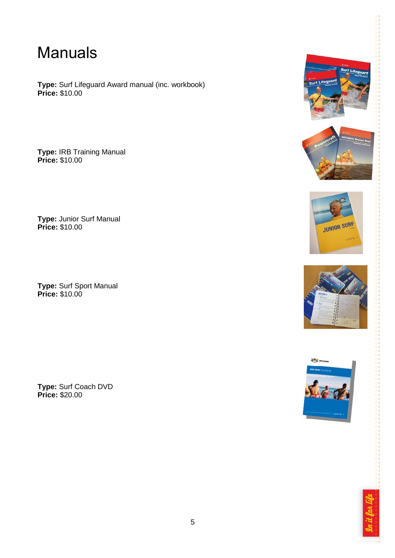#### <span id="page-5-0"></span>Manuals

**Type:** Surf Lifeguard Award manual (inc. workbook) **Price:** \$10.00

**Type:** IRB Training Manual **Price:** \$10.00

**Type:** Junior Surf Manual **Price:** \$10.00

**Type:** Surf Sport Manual **Price:** \$10.00

**Type:** Surf Coach DVD **Price:** \$20.00











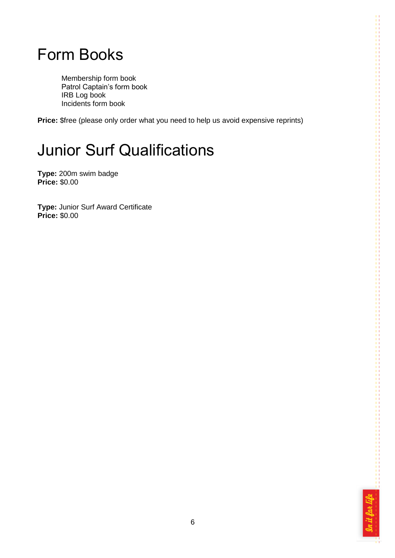#### <span id="page-6-0"></span>Form Books

Membership form book Patrol Captain's form book IRB Log book Incidents form book

**Price:** \$free (please only order what you need to help us avoid expensive reprints)

# <span id="page-6-1"></span>Junior Surf Qualifications

**Type:** 200m swim badge **Price:** \$0.00

**Type:** Junior Surf Award Certificate **Price:** \$0.00